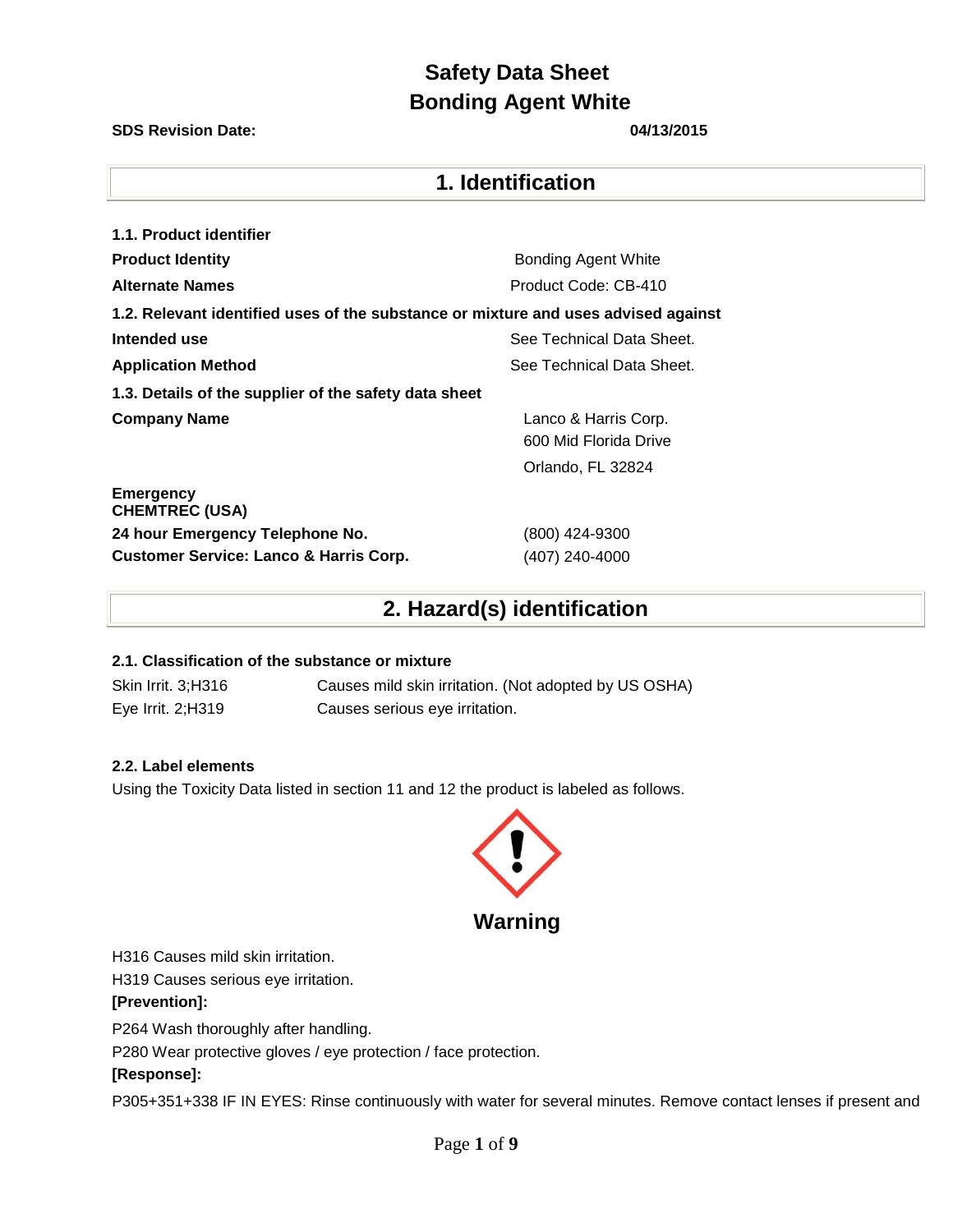#### **SDS Revision Date: 04/13/2015**

## **1. Identification**

| 1.1. Product identifier                                                            |                            |
|------------------------------------------------------------------------------------|----------------------------|
| <b>Product Identity</b>                                                            | <b>Bonding Agent White</b> |
| <b>Alternate Names</b>                                                             | Product Code: CB-410       |
| 1.2. Relevant identified uses of the substance or mixture and uses advised against |                            |
| Intended use                                                                       | See Technical Data Sheet.  |
| <b>Application Method</b>                                                          | See Technical Data Sheet.  |
| 1.3. Details of the supplier of the safety data sheet                              |                            |
| <b>Company Name</b>                                                                | Lanco & Harris Corp.       |
|                                                                                    | 600 Mid Florida Drive      |
|                                                                                    | Orlando, FL 32824          |
| <b>Emergency</b><br><b>CHEMTREC (USA)</b>                                          |                            |
| 24 hour Emergency Telephone No.                                                    | (800) 424-9300             |
| <b>Customer Service: Lanco &amp; Harris Corp.</b>                                  | (407) 240-4000             |

## **2. Hazard(s) identification**

### **2.1. Classification of the substance or mixture**

Skin Irrit. 3;H316 Causes mild skin irritation. (Not adopted by US OSHA) Eye Irrit. 2;H319 Causes serious eye irritation.

#### **2.2. Label elements**

Using the Toxicity Data listed in section 11 and 12 the product is labeled as follows.



H316 Causes mild skin irritation.

H319 Causes serious eye irritation.

#### **[Prevention]:**

P264 Wash thoroughly after handling.

P280 Wear protective gloves / eye protection / face protection.

#### **[Response]:**

P305+351+338 IF IN EYES: Rinse continuously with water for several minutes. Remove contact lenses if present and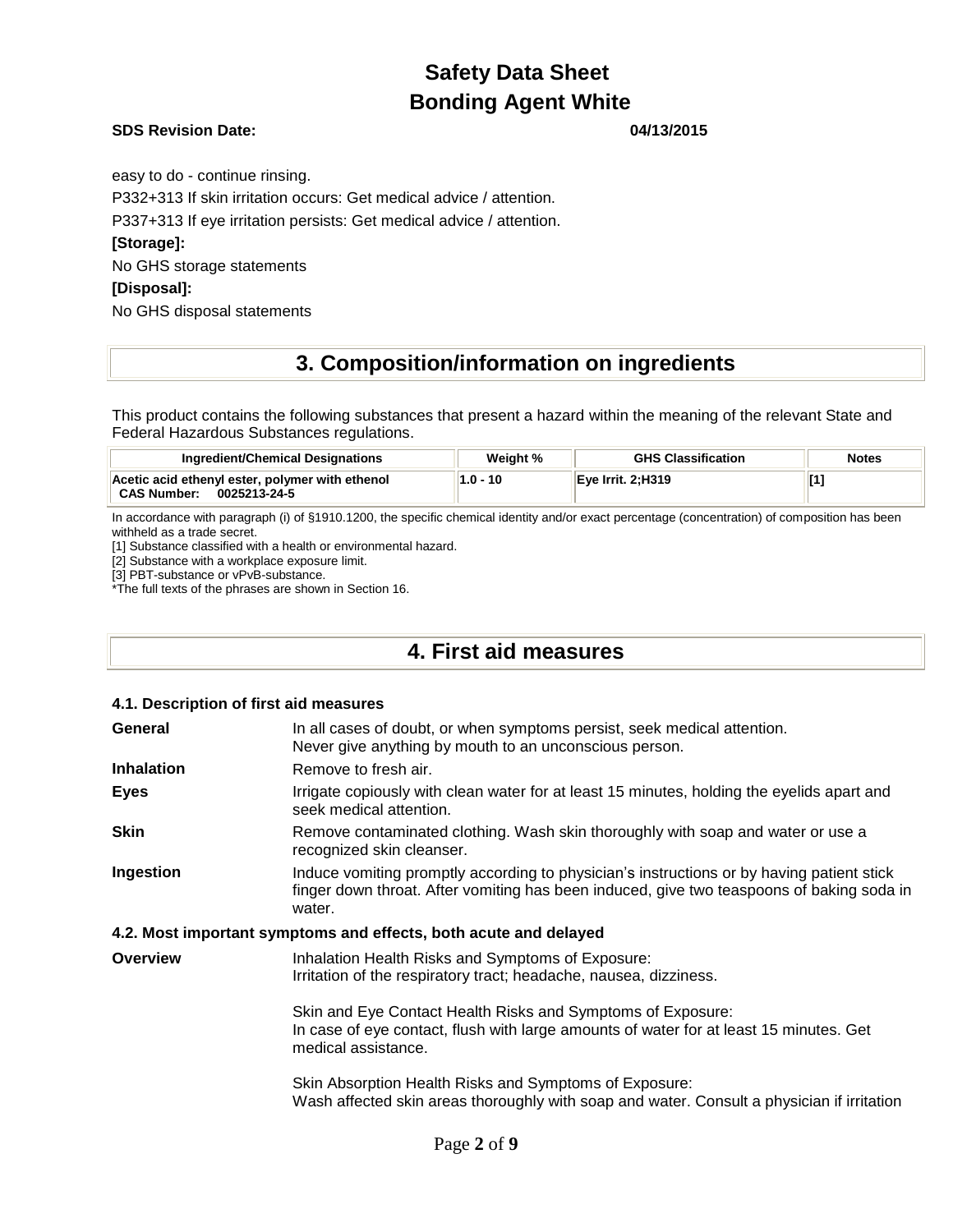### **SDS Revision Date: 04/13/2015**

easy to do - continue rinsing.

P332+313 If skin irritation occurs: Get medical advice / attention.

P337+313 If eye irritation persists: Get medical advice / attention.

#### **[Storage]:**

No GHS storage statements

#### **[Disposal]:**

No GHS disposal statements

# **3. Composition/information on ingredients**

This product contains the following substances that present a hazard within the meaning of the relevant State and Federal Hazardous Substances regulations.

| <b>Ingredient/Chemical Designations</b>                                     | Weight %   | <b>GHS Classification</b> | <b>Notes</b> |
|-----------------------------------------------------------------------------|------------|---------------------------|--------------|
| Acetic acid ethenyl ester, polymer with ethenol<br>CAS Number: 0025213-24-5 | $1.0 - 10$ | $Eve$ Irrit. 2, H319      |              |

In accordance with paragraph (i) of §1910.1200, the specific chemical identity and/or exact percentage (concentration) of composition has been withheld as a trade secret.

[1] Substance classified with a health or environmental hazard.

[2] Substance with a workplace exposure limit.

[3] PBT-substance or vPvB-substance.

\*The full texts of the phrases are shown in Section 16.

## **4. First aid measures**

#### **4.1. Description of first aid measures**

| General           | In all cases of doubt, or when symptoms persist, seek medical attention.<br>Never give anything by mouth to an unconscious person.                                                               |  |  |
|-------------------|--------------------------------------------------------------------------------------------------------------------------------------------------------------------------------------------------|--|--|
| <b>Inhalation</b> | Remove to fresh air.                                                                                                                                                                             |  |  |
| <b>Eyes</b>       | Irrigate copiously with clean water for at least 15 minutes, holding the eyelids apart and<br>seek medical attention.                                                                            |  |  |
| <b>Skin</b>       | Remove contaminated clothing. Wash skin thoroughly with soap and water or use a<br>recognized skin cleanser.                                                                                     |  |  |
| Ingestion         | Induce vomiting promptly according to physician's instructions or by having patient stick<br>finger down throat. After vomiting has been induced, give two teaspoons of baking soda in<br>water. |  |  |
|                   | 4.2. Most important symptoms and effects, both acute and delayed                                                                                                                                 |  |  |
| <b>Overview</b>   | Inhalation Health Risks and Symptoms of Exposure:<br>Irritation of the respiratory tract; headache, nausea, dizziness.                                                                           |  |  |
|                   | Skin and Eye Contact Health Risks and Symptoms of Exposure:<br>In case of eye contact, flush with large amounts of water for at least 15 minutes. Get<br>medical assistance.                     |  |  |
|                   | Skin Absorption Health Risks and Symptoms of Exposure:<br>Wash affected skin areas thoroughly with soap and water. Consult a physician if irritation                                             |  |  |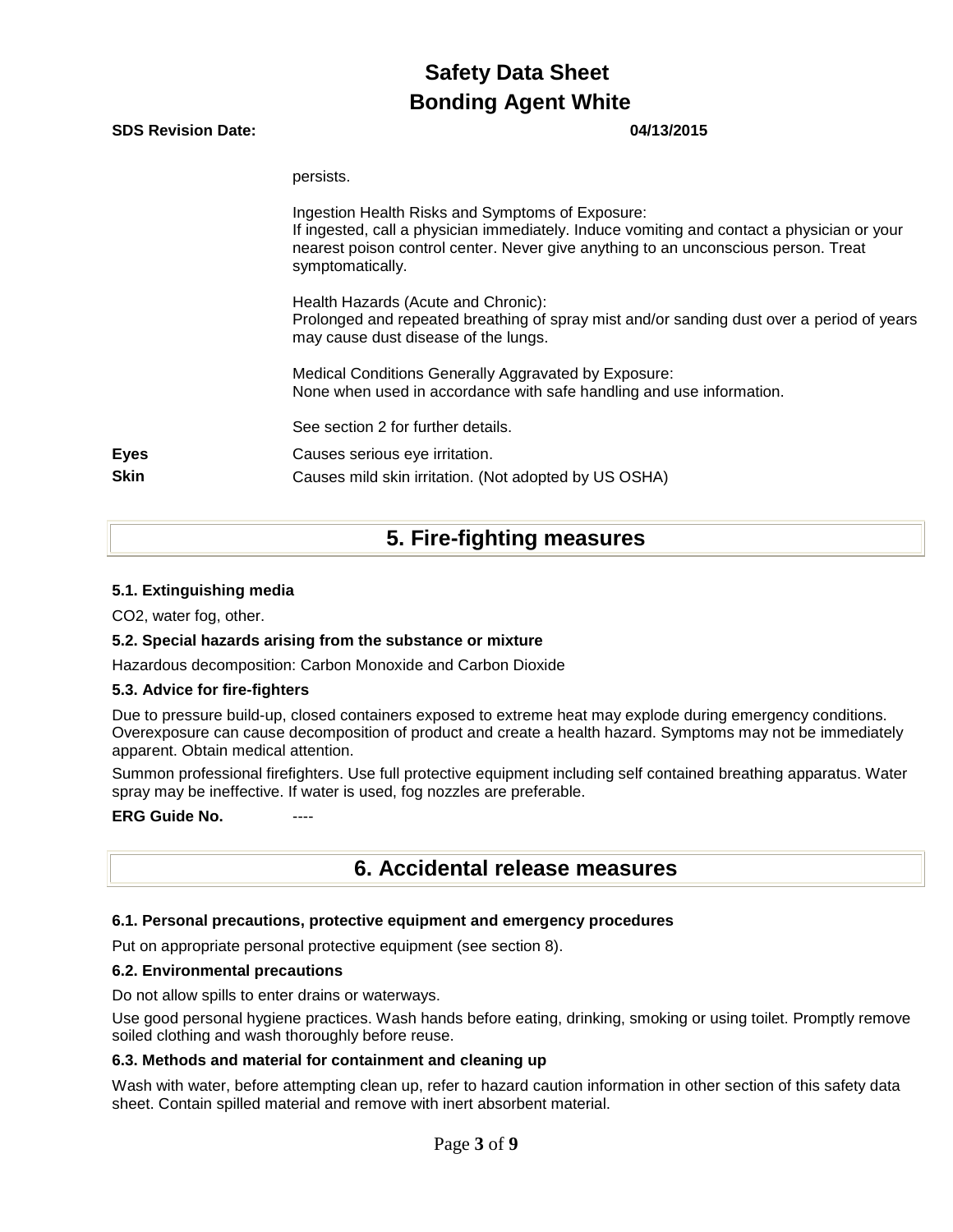| <b>SDS Revision Date:</b> | 04/13/2015                                                                                                                                                                                                                                               |
|---------------------------|----------------------------------------------------------------------------------------------------------------------------------------------------------------------------------------------------------------------------------------------------------|
|                           | persists.                                                                                                                                                                                                                                                |
|                           | Ingestion Health Risks and Symptoms of Exposure:<br>If ingested, call a physician immediately. Induce vomiting and contact a physician or your<br>nearest poison control center. Never give anything to an unconscious person. Treat<br>symptomatically. |
|                           | Health Hazards (Acute and Chronic):<br>Prolonged and repeated breathing of spray mist and/or sanding dust over a period of years<br>may cause dust disease of the lungs.                                                                                 |
|                           | Medical Conditions Generally Aggravated by Exposure:<br>None when used in accordance with safe handling and use information.                                                                                                                             |
|                           | See section 2 for further details.                                                                                                                                                                                                                       |
| <b>Eyes</b><br>Skin       | Causes serious eye irritation.<br>Causes mild skin irritation. (Not adopted by US OSHA)                                                                                                                                                                  |

# **5. Fire-fighting measures**

### **5.1. Extinguishing media**

CO2, water fog, other.

### **5.2. Special hazards arising from the substance or mixture**

Hazardous decomposition: Carbon Monoxide and Carbon Dioxide

### **5.3. Advice for fire-fighters**

Due to pressure build-up, closed containers exposed to extreme heat may explode during emergency conditions. Overexposure can cause decomposition of product and create a health hazard. Symptoms may not be immediately apparent. Obtain medical attention.

Summon professional firefighters. Use full protective equipment including self contained breathing apparatus. Water spray may be ineffective. If water is used, fog nozzles are preferable.

#### **ERG Guide No.**

## **6. Accidental release measures**

### **6.1. Personal precautions, protective equipment and emergency procedures**

Put on appropriate personal protective equipment (see section 8).

#### **6.2. Environmental precautions**

Do not allow spills to enter drains or waterways.

Use good personal hygiene practices. Wash hands before eating, drinking, smoking or using toilet. Promptly remove soiled clothing and wash thoroughly before reuse.

### **6.3. Methods and material for containment and cleaning up**

Wash with water, before attempting clean up, refer to hazard caution information in other section of this safety data sheet. Contain spilled material and remove with inert absorbent material.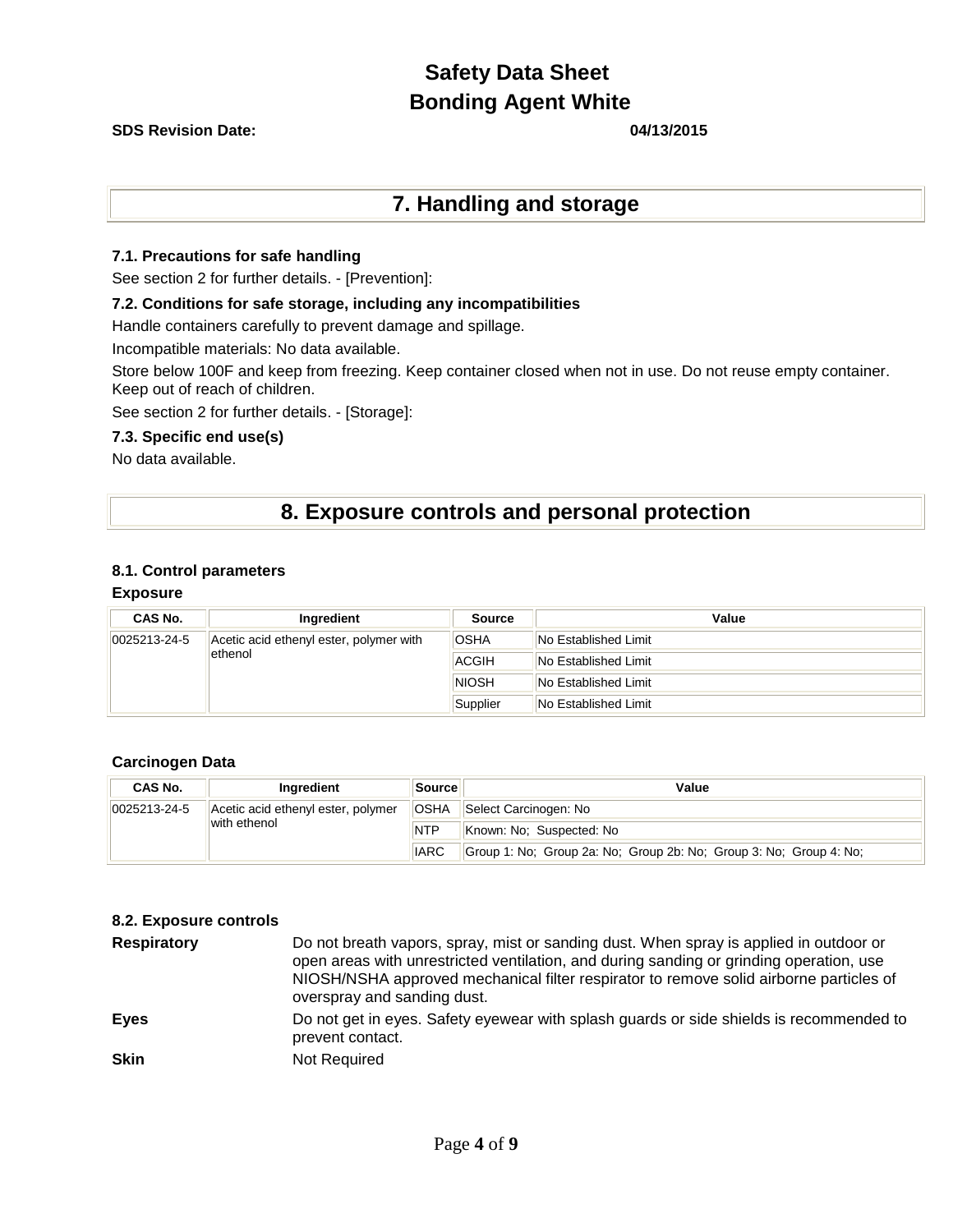#### **SDS Revision Date: 04/13/2015**

## **7. Handling and storage**

### **7.1. Precautions for safe handling**

See section 2 for further details. - [Prevention]:

**7.2. Conditions for safe storage, including any incompatibilities**

Handle containers carefully to prevent damage and spillage.

Incompatible materials: No data available.

Store below 100F and keep from freezing. Keep container closed when not in use. Do not reuse empty container. Keep out of reach of children.

See section 2 for further details. - [Storage]:

### **7.3. Specific end use(s)**

No data available.

## **8. Exposure controls and personal protection**

#### **8.1. Control parameters**

#### **Exposure**

| CAS No.      | Ingredient                                         | <b>Source</b> | Value                       |
|--------------|----------------------------------------------------|---------------|-----------------------------|
| 0025213-24-5 | Acetic acid ethenyl ester, polymer with<br>ethenol | <b>OSHA</b>   | No Established Limit        |
|              |                                                    | <b>ACGIH</b>  | <b>No Established Limit</b> |
|              |                                                    | <b>NIOSH</b>  | <b>No Established Limit</b> |
|              |                                                    | Supplier      | No Established Limit        |

#### **Carcinogen Data**

| CAS No.      | <b>Ingredient</b>                  | <b>Source</b> | Value                                                              |
|--------------|------------------------------------|---------------|--------------------------------------------------------------------|
| 0025213-24-5 | Acetic acid ethenyl ester, polymer | <b>OSHA</b>   | Select Carcinogen: No                                              |
|              | with ethenol                       | <b>NTP</b>    | Known: No: Suspected: No                                           |
|              |                                    | <b>IARC</b>   | Group 1: No; Group 2a: No; Group 2b: No; Group 3: No; Group 4: No; |

#### **8.2. Exposure controls**

| <b>Respiratory</b> | Do not breath vapors, spray, mist or sanding dust. When spray is applied in outdoor or<br>open areas with unrestricted ventilation, and during sanding or grinding operation, use<br>NIOSH/NSHA approved mechanical filter respirator to remove solid airborne particles of<br>overspray and sanding dust. |
|--------------------|------------------------------------------------------------------------------------------------------------------------------------------------------------------------------------------------------------------------------------------------------------------------------------------------------------|
| <b>Eyes</b>        | Do not get in eyes. Safety eyewear with splash guards or side shields is recommended to<br>prevent contact.                                                                                                                                                                                                |
| <b>Skin</b>        | Not Required                                                                                                                                                                                                                                                                                               |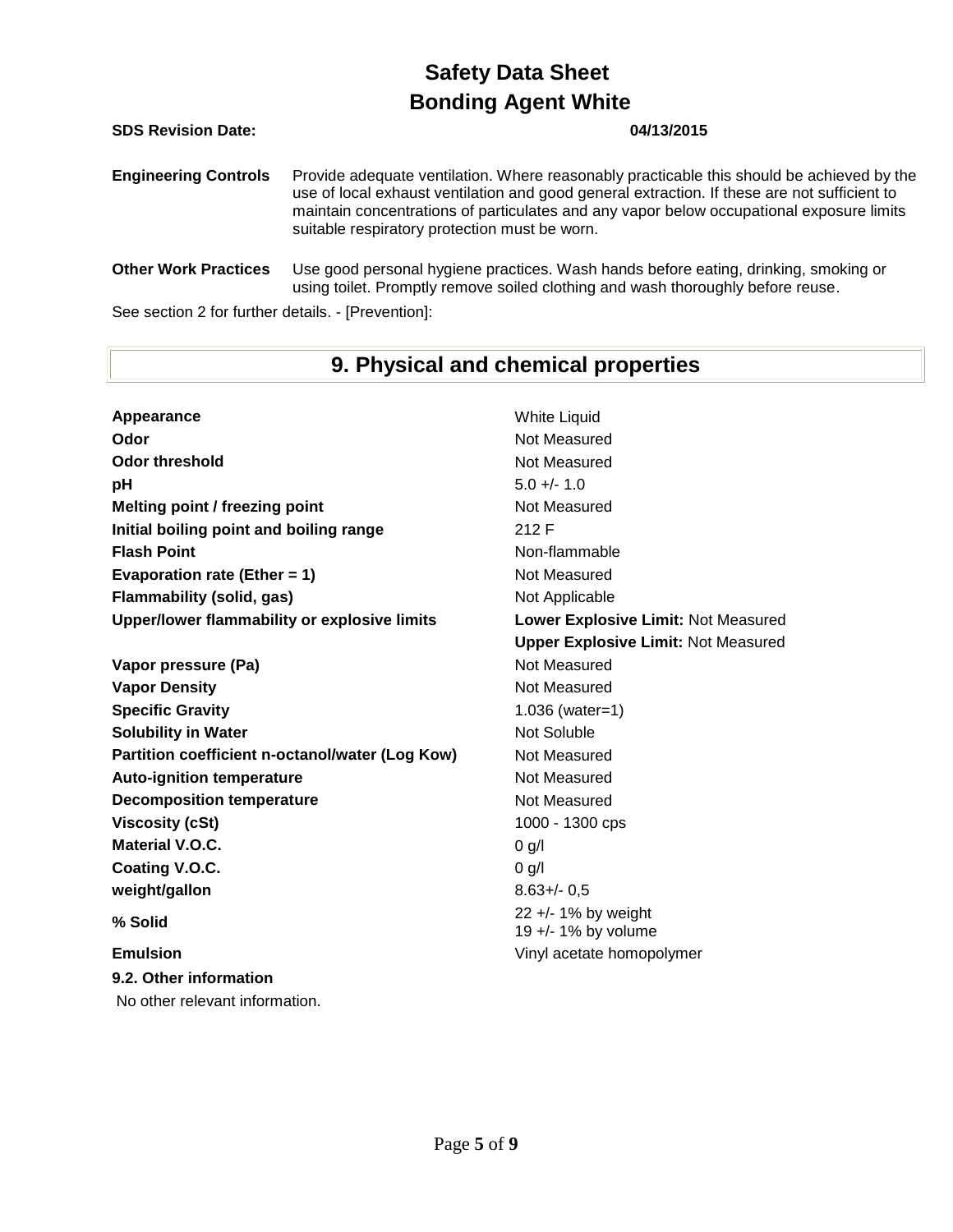| <b>SDS Revision Date:</b>   | 04/13/2015                                                                                                                                                                                                                                                                                                                             |
|-----------------------------|----------------------------------------------------------------------------------------------------------------------------------------------------------------------------------------------------------------------------------------------------------------------------------------------------------------------------------------|
| <b>Engineering Controls</b> | Provide adequate ventilation. Where reasonably practicable this should be achieved by the<br>use of local exhaust ventilation and good general extraction. If these are not sufficient to<br>maintain concentrations of particulates and any vapor below occupational exposure limits<br>suitable respiratory protection must be worn. |
| <b>Other Work Practices</b> | Use good personal hygiene practices. Wash hands before eating, drinking, smoking or<br>using toilet. Promptly remove soiled clothing and wash thoroughly before reuse.                                                                                                                                                                 |
|                             |                                                                                                                                                                                                                                                                                                                                        |

See section 2 for further details. - [Prevention]:

# **9. Physical and chemical properties**

| Appearance                                      | White Liquid                                  |
|-------------------------------------------------|-----------------------------------------------|
| Odor                                            | Not Measured                                  |
| <b>Odor threshold</b>                           | Not Measured                                  |
| рH                                              | $5.0 +/- 1.0$                                 |
| Melting point / freezing point                  | Not Measured                                  |
| Initial boiling point and boiling range         | 212 F                                         |
| <b>Flash Point</b>                              | Non-flammable                                 |
| Evaporation rate (Ether = 1)                    | Not Measured                                  |
| <b>Flammability (solid, gas)</b>                | Not Applicable                                |
| Upper/lower flammability or explosive limits    | Lower Explosive Limit: Not Measured           |
|                                                 | <b>Upper Explosive Limit: Not Measured</b>    |
| Vapor pressure (Pa)                             | Not Measured                                  |
| <b>Vapor Density</b>                            | Not Measured                                  |
| <b>Specific Gravity</b>                         | $1.036$ (water=1)                             |
| <b>Solubility in Water</b>                      | Not Soluble                                   |
| Partition coefficient n-octanol/water (Log Kow) | Not Measured                                  |
| <b>Auto-ignition temperature</b>                | Not Measured                                  |
| <b>Decomposition temperature</b>                | Not Measured                                  |
| <b>Viscosity (cSt)</b>                          | 1000 - 1300 cps                               |
| <b>Material V.O.C.</b>                          | 0 g/l                                         |
| Coating V.O.C.                                  | 0 g/l                                         |
| weight/gallon                                   | $8.63 + / -0.5$                               |
| % Solid                                         | $22 + 1$ % by weight<br>19 $+/-$ 1% by volume |
| <b>Emulsion</b>                                 | Vinyl acetate homopolymer                     |
| 9.2. Other information                          |                                               |
| No other relevant information.                  |                                               |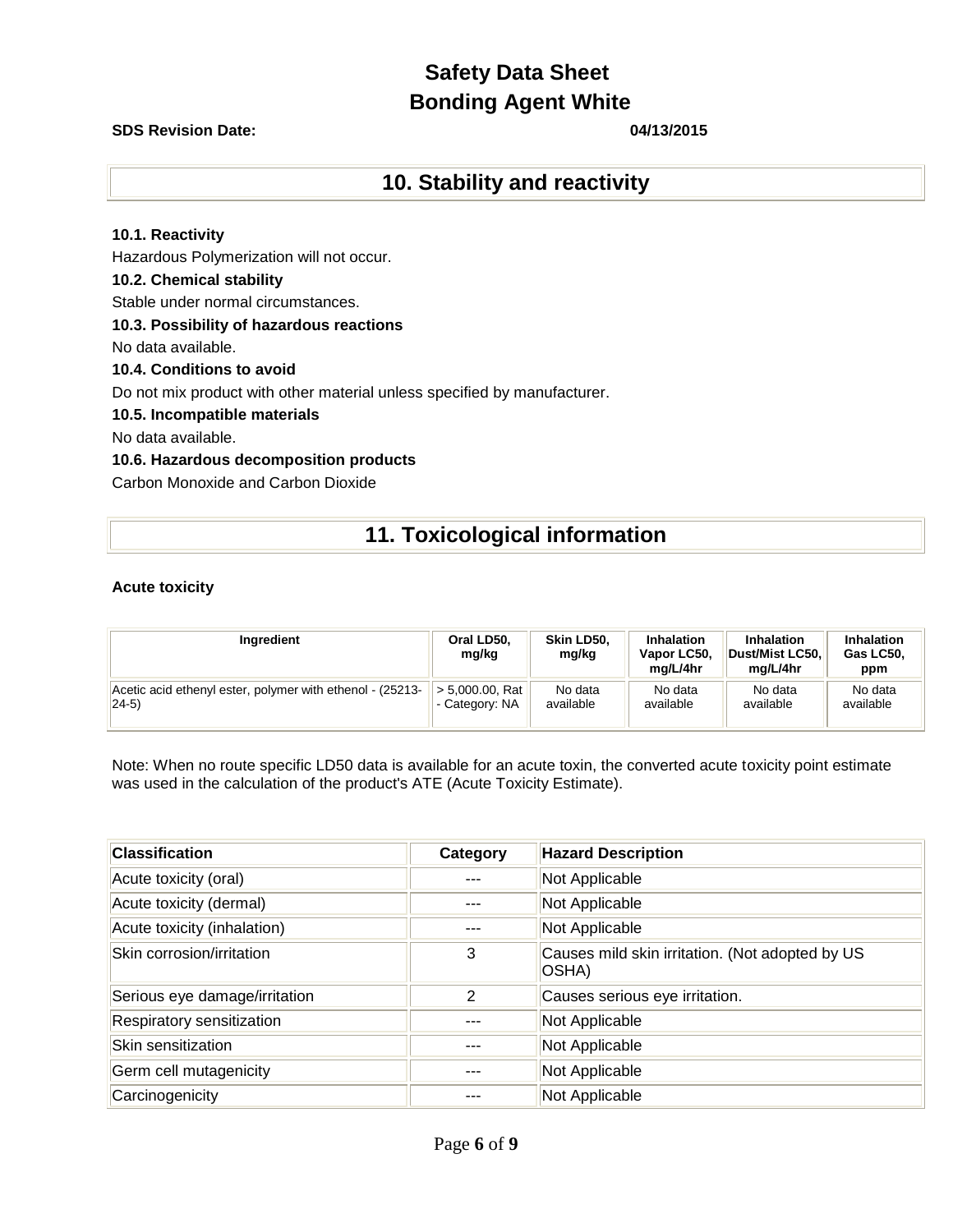#### **SDS Revision Date: 04/13/2015**

## **10. Stability and reactivity**

#### **10.1. Reactivity**

Hazardous Polymerization will not occur.

#### **10.2. Chemical stability**

Stable under normal circumstances.

#### **10.3. Possibility of hazardous reactions**

No data available.

#### **10.4. Conditions to avoid**

Do not mix product with other material unless specified by manufacturer.

#### **10.5. Incompatible materials**

No data available.

#### **10.6. Hazardous decomposition products**

Carbon Monoxide and Carbon Dioxide

# **11. Toxicological information**

#### **Acute toxicity**

| Ingredient                                                | Oral LD50.<br>mg/kg | Skin LD50.<br>mg/kg | <b>Inhalation</b><br>Vapor LC50,<br>ma/L/4hr | <b>Inhalation</b><br>Dust/Mist LC50.<br>ma/L/4hr | <b>Inhalation</b><br>Gas LC50.<br>ppm |
|-----------------------------------------------------------|---------------------|---------------------|----------------------------------------------|--------------------------------------------------|---------------------------------------|
| Acetic acid ethenyl ester, polymer with ethenol - (25213- | $> 5.000.00$ . Rat  | No data             | No data                                      | No data                                          | No data                               |
| $ 24-5\rangle$                                            | - Category: NA      | available           | available                                    | available                                        | available                             |

Note: When no route specific LD50 data is available for an acute toxin, the converted acute toxicity point estimate was used in the calculation of the product's ATE (Acute Toxicity Estimate).

| <b>Classification</b>         | Category | <b>Hazard Description</b>                                |
|-------------------------------|----------|----------------------------------------------------------|
| Acute toxicity (oral)         |          | Not Applicable                                           |
| Acute toxicity (dermal)       | ---      | Not Applicable                                           |
| Acute toxicity (inhalation)   |          | Not Applicable                                           |
| Skin corrosion/irritation     | 3        | Causes mild skin irritation. (Not adopted by US<br>OSHA) |
| Serious eye damage/irritation | 2        | Causes serious eye irritation.                           |
| Respiratory sensitization     |          | Not Applicable                                           |
| Skin sensitization            |          | Not Applicable                                           |
| Germ cell mutagenicity        |          | Not Applicable                                           |
| Carcinogenicity               |          | Not Applicable                                           |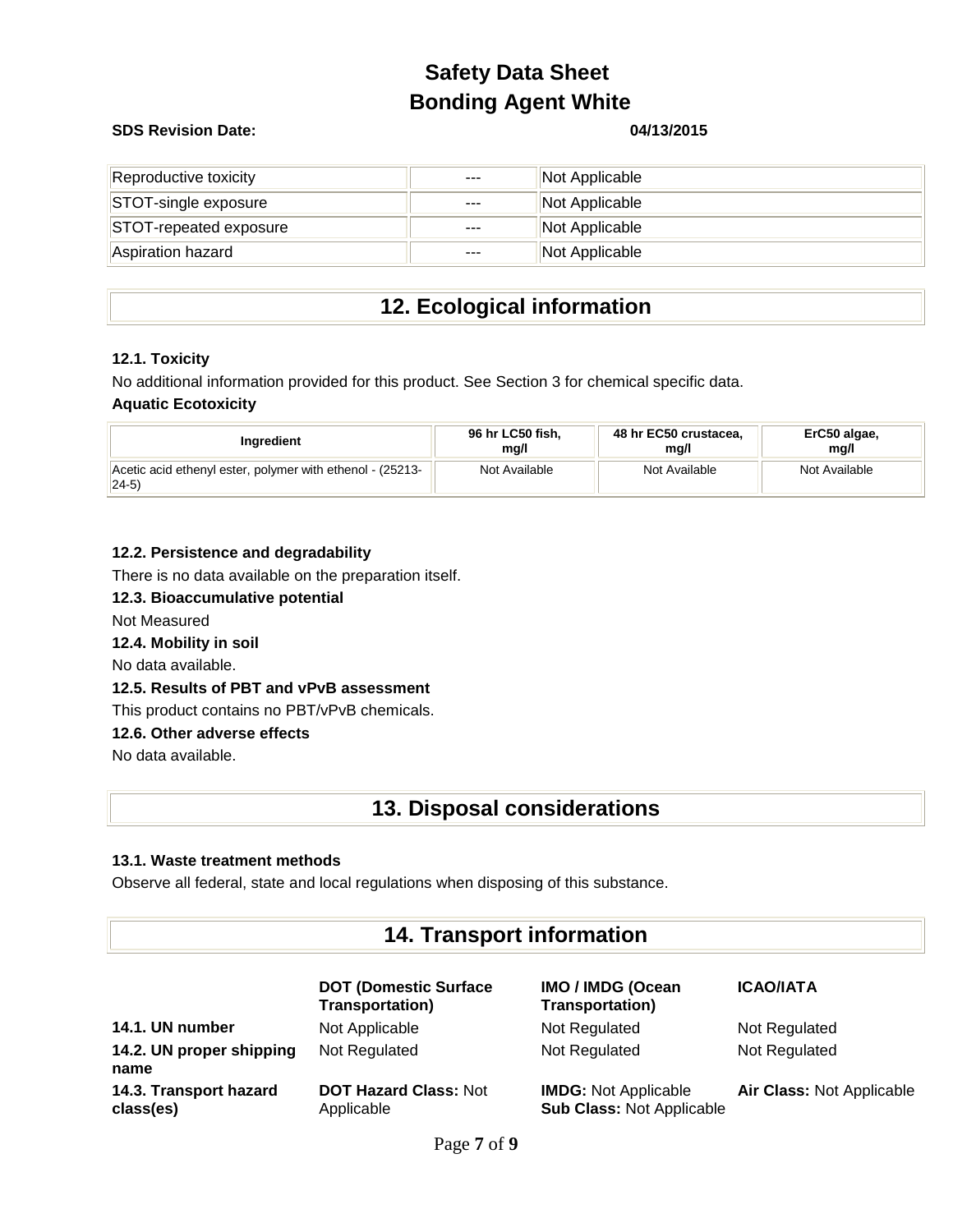#### **SDS Revision Date: 04/13/2015**

| Reproductive toxicity  | $- - -$  | Not Applicable        |
|------------------------|----------|-----------------------|
| STOT-single exposure   | $---$    | Not Applicable        |
| STOT-repeated exposure | $\cdots$ | Not Applicable        |
| Aspiration hazard      | $--$     | <b>Not Applicable</b> |

# **12. Ecological information**

### **12.1. Toxicity**

No additional information provided for this product. See Section 3 for chemical specific data.

#### **Aquatic Ecotoxicity**

| Inaredient                                                                  | 96 hr LC50 fish. | 48 hr EC50 crustacea. | ErC50 algae,  |
|-----------------------------------------------------------------------------|------------------|-----------------------|---------------|
|                                                                             | mq/l             | mg/l                  | mg/l          |
| Acetic acid ethenyl ester, polymer with ethenol - (25213-<br>$ 24.5\rangle$ | Not Available    | Not Available         | Not Available |

#### **12.2. Persistence and degradability**

There is no data available on the preparation itself.

#### **12.3. Bioaccumulative potential**

Not Measured

**12.4. Mobility in soil**

No data available.

#### **12.5. Results of PBT and vPvB assessment**

This product contains no PBT/vPvB chemicals.

#### **12.6. Other adverse effects**

No data available.

# **13. Disposal considerations**

### **13.1. Waste treatment methods**

Observe all federal, state and local regulations when disposing of this substance.

| <b>14. Transport information</b>    |                                                        |                                                                 |                           |  |  |
|-------------------------------------|--------------------------------------------------------|-----------------------------------------------------------------|---------------------------|--|--|
|                                     | <b>DOT (Domestic Surface</b><br><b>Transportation)</b> | IMO / IMDG (Ocean<br><b>Transportation)</b>                     | <b>ICAO/IATA</b>          |  |  |
| 14.1. UN number                     | Not Applicable                                         | Not Regulated                                                   | Not Regulated             |  |  |
| 14.2. UN proper shipping<br>name    | Not Regulated                                          | Not Regulated                                                   | Not Regulated             |  |  |
| 14.3. Transport hazard<br>class(es) | <b>DOT Hazard Class: Not</b><br>Applicable             | <b>IMDG:</b> Not Applicable<br><b>Sub Class: Not Applicable</b> | Air Class: Not Applicable |  |  |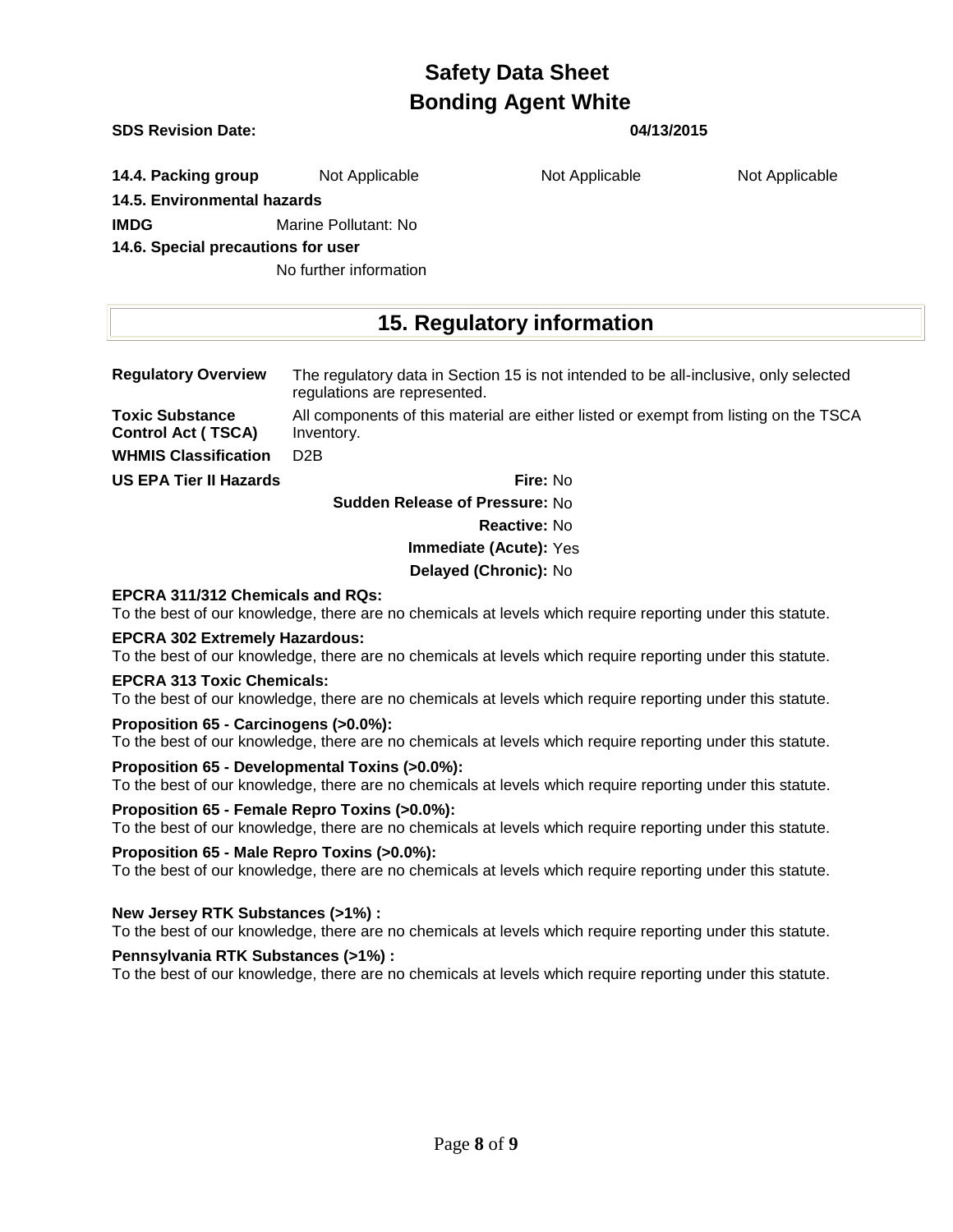#### **SDS Revision Date: 04/13/2015**

**14.4. Packing group** Not Applicable Not Applicable Not Applicable Not Applicable

**14.5. Environmental hazards**

**IMDG** Marine Pollutant: No

**14.6. Special precautions for user**

No further information

# **15. Regulatory information**

**Regulatory Overview** The regulatory data in Section 15 is not intended to be all-inclusive, only selected regulations are represented. **Toxic Substance Control Act ( TSCA)** All components of this material are either listed or exempt from listing on the TSCA Inventory. **WHMIS Classification** D2B

**US EPA Tier II Hazards Fire:** No

## **Sudden Release of Pressure:** No

### **Reactive:** No

### **Immediate (Acute):** Yes

### **Delayed (Chronic):** No

### **EPCRA 311/312 Chemicals and RQs:**

To the best of our knowledge, there are no chemicals at levels which require reporting under this statute.

#### **EPCRA 302 Extremely Hazardous:**

To the best of our knowledge, there are no chemicals at levels which require reporting under this statute.

### **EPCRA 313 Toxic Chemicals:**

To the best of our knowledge, there are no chemicals at levels which require reporting under this statute.

#### **Proposition 65 - Carcinogens (>0.0%):**

To the best of our knowledge, there are no chemicals at levels which require reporting under this statute.

### **Proposition 65 - Developmental Toxins (>0.0%):**

To the best of our knowledge, there are no chemicals at levels which require reporting under this statute.

#### **Proposition 65 - Female Repro Toxins (>0.0%):**

To the best of our knowledge, there are no chemicals at levels which require reporting under this statute.

#### **Proposition 65 - Male Repro Toxins (>0.0%):**

To the best of our knowledge, there are no chemicals at levels which require reporting under this statute.

### **New Jersey RTK Substances (>1%) :**

To the best of our knowledge, there are no chemicals at levels which require reporting under this statute.

### **Pennsylvania RTK Substances (>1%) :**

To the best of our knowledge, there are no chemicals at levels which require reporting under this statute.